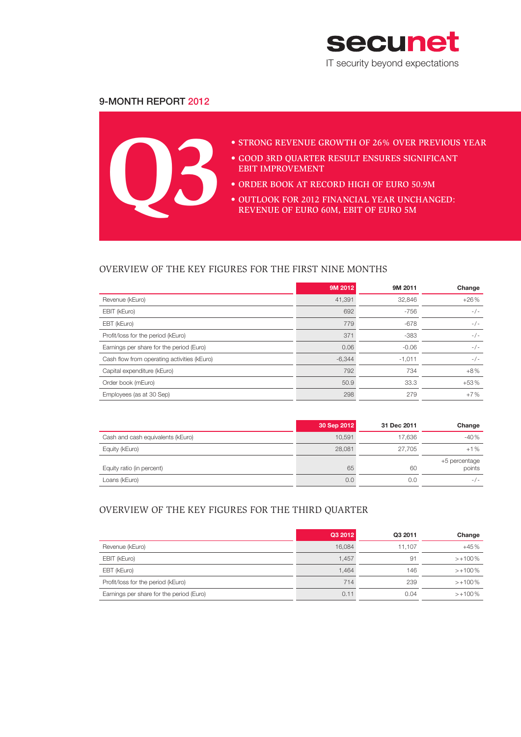

# 9-Month Report 2012

**Q3**

## • STRONG REVENUE GROWTH OF 26% OVER PREVIOUS YEAR

- • Good 3rd quarter result ensures significant EBIT improvement
- ORDER BOOK AT RECORD HIGH OF EURO 50.9M
- OUTLOOK FOR 2012 FINANCIAL YEAR UNCHANGED: revenue of Euro 60m, EBIT of Euro 5m

# OVERVIEW OF THE KEY FIGURES FOR THE FIRST NINE MONTHS

|                                             | 9M 2012  | 9M 2011  | Change |
|---------------------------------------------|----------|----------|--------|
| Revenue (kEuro)                             | 41.391   | 32,846   | $+26%$ |
| EBIT (kEuro)                                | 692      | $-756$   | $-/-$  |
| EBT (kEuro)                                 | 779      | $-678$   | $-/-$  |
| Profit/loss for the period (kEuro)          | 371      | -383     | $-/-$  |
| Earnings per share for the period (Euro)    | 0.06     | $-0.06$  | $-/-$  |
| Cash flow from operating activities (kEuro) | $-6,344$ | $-1,011$ | $-/-$  |
| Capital expenditure (kEuro)                 | 792      | 734      | $+8\%$ |
| Order book (mEuro)                          | 50.9     | 33.3     | $+53%$ |
| Employees (as at 30 Sep)                    | 298      | 279      | $+7%$  |

|                                   | 30 Sep 2012 | 31 Dec 2011 | Change                  |
|-----------------------------------|-------------|-------------|-------------------------|
| Cash and cash equivalents (kEuro) | 10.591      | 17.636      | $-40%$                  |
| Equity (kEuro)                    | 28,081      | 27.705      | $+1%$                   |
| Equity ratio (in percent)         | 65          | 60          | +5 percentage<br>points |
| Loans (kEuro)                     | 0.0         | 0.0         | $-/-$                   |

# OVERVIEW OF THE KEY FIGURES FOR THE THIRD QUARTER

|                                          | Q3 2012 | Q3 2011 | Change     |
|------------------------------------------|---------|---------|------------|
| Revenue (kEuro)                          | 16.084  | 11.107  | $+45%$     |
| EBIT (kEuro)                             | 1.457   | 91      | $>+100\%$  |
| EBT (kEuro)                              | 1.464   | 146     | $>+100\%$  |
| Profit/loss for the period (kEuro)       | 714     | 239     | $>+100\%$  |
| Earnings per share for the period (Euro) | 0.11    | 0.04    | $> +100\%$ |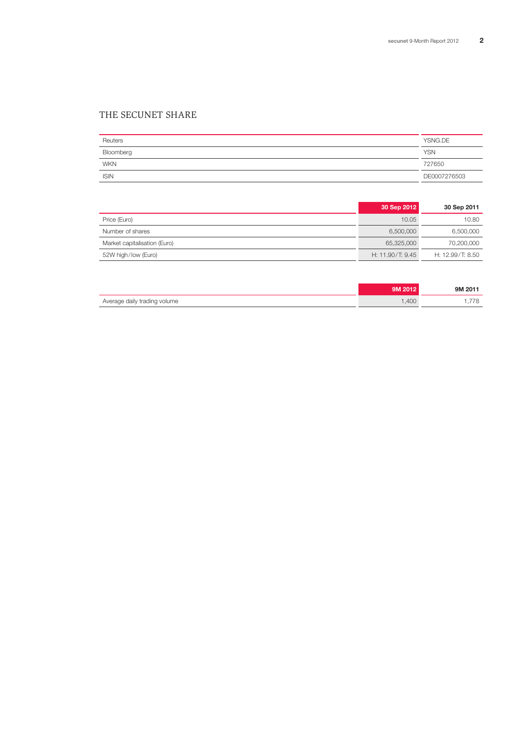# THE SECUNET SHARE

| Reuters     | YSNG.DE      |
|-------------|--------------|
| Bloomberg   | <b>YSN</b>   |
| <b>WKN</b>  | 727650       |
| <b>ISIN</b> | DE0007276503 |

|                              | 30 Sep 2012        | 30 Sep 2011      |
|------------------------------|--------------------|------------------|
| Price (Euro)                 | 10.05              | 10.80            |
| Number of shares             | 6.500.000          | 6,500,000        |
| Market capitalisation (Euro) | 65.325.000         | 70,200,000       |
| 52W high/low (Euro)          | H: $11.90/T: 9.45$ | H: 12.99/T: 8.50 |

|                              | 9M 2012 | 9M 2011 |
|------------------------------|---------|---------|
| Average daily trading volume | .400    | .778    |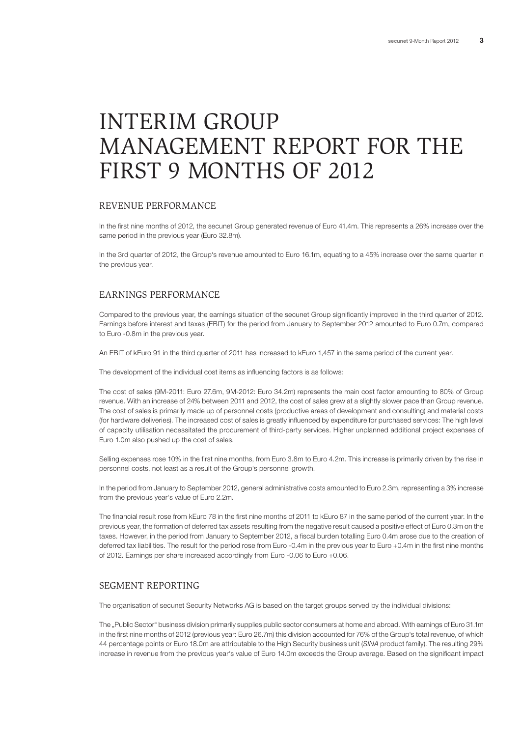# INTERIM GROUP MANAGEMENT REPORT FOR THE FIRST 9 MONTHS OF 2012

#### REVENUE PERFORMANCE

In the first nine months of 2012, the secunet Group generated revenue of Euro 41.4m. This represents a 26% increase over the same period in the previous year (Euro 32.8m).

In the 3rd quarter of 2012, the Group's revenue amounted to Euro 16.1m, equating to a 45% increase over the same quarter in the previous year.

## EARNINGS PERFORMANCE

Compared to the previous year, the earnings situation of the secunet Group significantly improved in the third quarter of 2012. Earnings before interest and taxes (EBIT) for the period from January to September 2012 amounted to Euro 0.7m, compared to Euro -0.8m in the previous year.

An EBIT of kEuro 91 in the third quarter of 2011 has increased to kEuro 1,457 in the same period of the current year.

The development of the individual cost items as influencing factors is as follows:

The cost of sales (9M-2011: Euro 27.6m, 9M-2012: Euro 34.2m) represents the main cost factor amounting to 80% of Group revenue. With an increase of 24% between 2011 and 2012, the cost of sales grew at a slightly slower pace than Group revenue. The cost of sales is primarily made up of personnel costs (productive areas of development and consulting) and material costs (for hardware deliveries). The increased cost of sales is greatly influenced by expenditure for purchased services: The high level of capacity utilisation necessitated the procurement of third-party services. Higher unplanned additional project expenses of Euro 1.0m also pushed up the cost of sales.

Selling expenses rose 10% in the first nine months, from Euro 3.8m to Euro 4.2m. This increase is primarily driven by the rise in personnel costs, not least as a result of the Group's personnel growth.

In the period from January to September 2012, general administrative costs amounted to Euro 2.3m, representing a 3% increase from the previous year's value of Euro 2.2m.

The financial result rose from kEuro 78 in the first nine months of 2011 to kEuro 87 in the same period of the current year. In the previous year, the formation of deferred tax assets resulting from the negative result caused a positive effect of Euro 0.3m on the taxes. However, in the period from January to September 2012, a fiscal burden totalling Euro 0.4m arose due to the creation of deferred tax liabilities. The result for the period rose from Euro -0.4m in the previous year to Euro +0.4m in the first nine months of 2012. Earnings per share increased accordingly from Euro -0.06 to Euro +0.06.

## SEGMENT REPORTING

The organisation of secunet Security Networks AG is based on the target groups served by the individual divisions:

The "Public Sector" business division primarily supplies public sector consumers at home and abroad. With earnings of Euro 31.1m in the first nine months of 2012 (previous year: Euro 26.7m) this division accounted for 76% of the Group's total revenue, of which 44 percentage points or Euro 18.0m are attributable to the High Security business unit (*SINA* product family). The resulting 29% increase in revenue from the previous year's value of Euro 14.0m exceeds the Group average. Based on the significant impact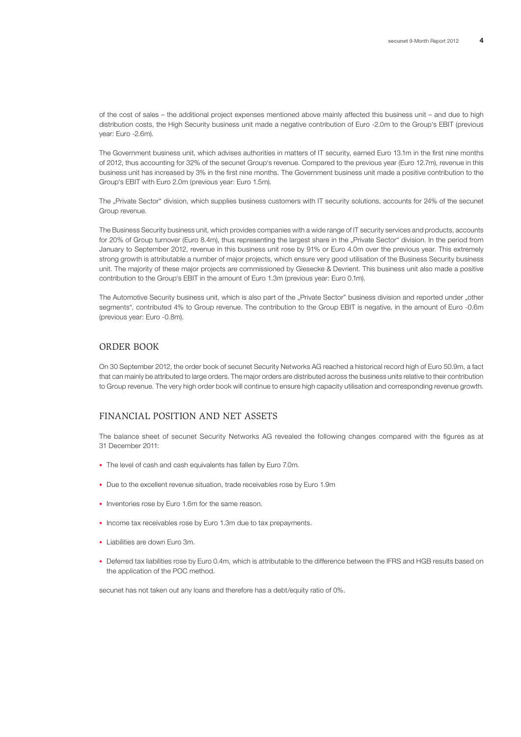of the cost of sales – the additional project expenses mentioned above mainly affected this business unit – and due to high distribution costs, the High Security business unit made a negative contribution of Euro -2.0m to the Group's EBIT (previous year: Euro -2.6m).

The Government business unit, which advises authorities in matters of IT security, earned Euro 13.1m in the first nine months of 2012, thus accounting for 32% of the secunet Group's revenue. Compared to the previous year (Euro 12.7m), revenue in this business unit has increased by 3% in the first nine months. The Government business unit made a positive contribution to the Group's EBIT with Euro 2.0m (previous year: Euro 1.5m).

The "Private Sector" division, which supplies business customers with IT security solutions, accounts for 24% of the secunet Group revenue.

The Business Security business unit, which provides companies with a wide range of IT security services and products, accounts for 20% of Group turnover (Euro 8.4m), thus representing the largest share in the "Private Sector" division. In the period from January to September 2012, revenue in this business unit rose by 91% or Euro 4.0m over the previous year. This extremely strong growth is attributable a number of major projects, which ensure very good utilisation of the Business Security business unit. The majority of these major projects are commissioned by Giesecke & Devrient. This business unit also made a positive contribution to the Group's EBIT in the amount of Euro 1.3m (previous year: Euro 0.1m).

The Automotive Security business unit, which is also part of the "Private Sector" business division and reported under "other segments", contributed 4% to Group revenue. The contribution to the Group EBIT is negative, in the amount of Euro -0.6m (previous year: Euro -0.8m).

#### ORDER BOOK

On 30 September 2012, the order book of secunet Security Networks AG reached a historical record high of Euro 50.9m, a fact that can mainly be attributed to large orders. The major orders are distributed across the business units relative to their contribution to Group revenue. The very high order book will continue to ensure high capacity utilisation and corresponding revenue growth.

## FINANCIAL POSITION and Net ASSETS

The balance sheet of secunet Security Networks AG revealed the following changes compared with the figures as at 31 December 2011:

- The level of cash and cash equivalents has fallen by Euro 7.0m.
- Due to the excellent revenue situation, trade receivables rose by Euro 1.9m
- Inventories rose by Euro 1.6m for the same reason.
- Income tax receivables rose by Euro 1.3m due to tax prepayments.
- Liabilities are down Euro 3m.
- • Deferred tax liabilities rose by Euro 0.4m, which is attributable to the difference between the IFRS and HGB results based on the application of the POC method.

secunet has not taken out any loans and therefore has a debt/equity ratio of 0%.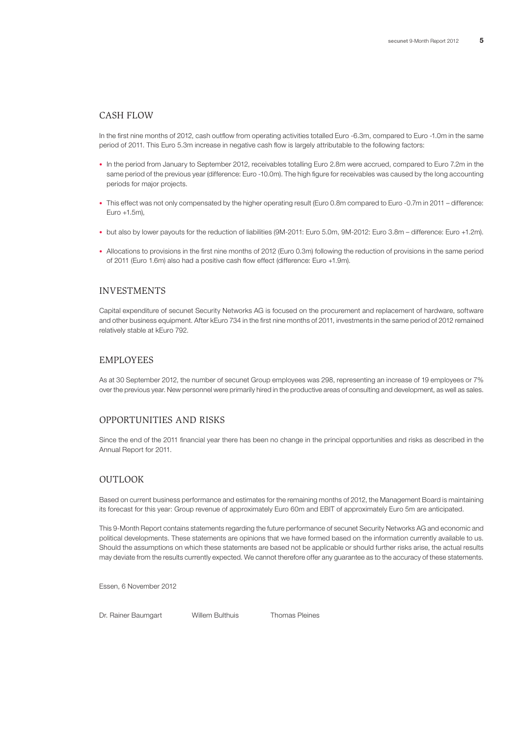#### CASH FLOW

In the first nine months of 2012, cash outflow from operating activities totalled Euro -6.3m, compared to Euro -1.0m in the same period of 2011. This Euro 5.3m increase in negative cash flow is largely attributable to the following factors:

- • In the period from January to September 2012, receivables totalling Euro 2.8m were accrued, compared to Euro 7.2m in the same period of the previous year (difference: Euro -10.0m). The high figure for receivables was caused by the long accounting periods for major projects.
- This effect was not only compensated by the higher operating result (Euro 0.8m compared to Euro -0.7m in 2011 difference: Euro +1.5m),
- but also by lower payouts for the reduction of liabilities (9M-2011: Euro 5.0m, 9M-2012: Euro 3.8m difference: Euro +1.2m).
- • Allocations to provisions in the first nine months of 2012 (Euro 0.3m) following the reduction of provisions in the same period of 2011 (Euro 1.6m) also had a positive cash flow effect (difference: Euro +1.9m).

#### INVESTMENTS

Capital expenditure of secunet Security Networks AG is focused on the procurement and replacement of hardware, software and other business equipment. After kEuro 734 in the first nine months of 2011, investments in the same period of 2012 remained relatively stable at kEuro 792.

# EMPLOYEES

As at 30 September 2012, the number of secunet Group employees was 298, representing an increase of 19 employees or 7% over the previous year. New personnel were primarily hired in the productive areas of consulting and development, as well as sales.

## OPPORTUNITIES AND RISKS

Since the end of the 2011 financial year there has been no change in the principal opportunities and risks as described in the Annual Report for 2011.

## OUTLOOK

Based on current business performance and estimates for the remaining months of 2012, the Management Board is maintaining its forecast for this year: Group revenue of approximately Euro 60m and EBIT of approximately Euro 5m are anticipated.

This 9-Month Report contains statements regarding the future performance of secunet Security Networks AG and economic and political developments. These statements are opinions that we have formed based on the information currently available to us. Should the assumptions on which these statements are based not be applicable or should further risks arise, the actual results may deviate from the results currently expected. We cannot therefore offer any guarantee as to the accuracy of these statements.

Essen, 6 November 2012

Dr. Rainer Baumgart Willem Bulthuis Thomas Pleines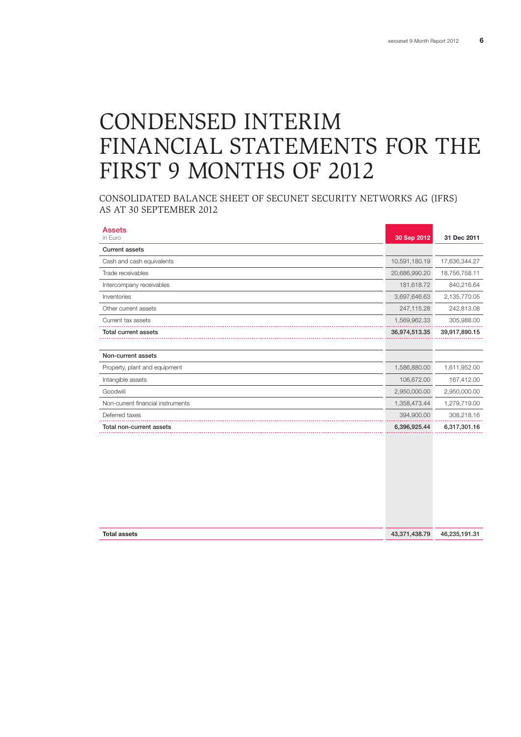# CONDENSED INTERIM FINANCIAL STATEMENTS FOR THE FIRST 9 MONTHS OF 2012

CONSOLIDATED BALANCE SHEET OF SECUNET SECURITY NETWORKS AG (IFRS) AS AT 30 SEPTEMBER 2012

| <b>Assets</b><br>in Euro          | 30 Sep 2012   | 31 Dec 2011   |
|-----------------------------------|---------------|---------------|
| <b>Current assets</b>             |               |               |
| Cash and cash equivalents         | 10,591,180.19 | 17,636,344.27 |
| Trade receivables                 | 20,686,990.20 | 18,756,758.11 |
|                                   |               |               |
| Intercompany receivables          | 181,618.72    | 840,216.64    |
| Inventories                       | 3,697,646.63  | 2,135,770.05  |
| Other current assets              | 247,115.28    | 242,813.08    |
| Current tax assets                | 1,569,962.33  | 305,988.00    |
| <b>Total current assets</b>       | 36,974,513.35 | 39,917,890.15 |
|                                   |               |               |
| Non-current assets                |               |               |
| Property, plant and equipment     | 1,586,880.00  | 1,611,952.00  |
| Intangible assets                 | 106,672.00    | 167,412.00    |
| Goodwill                          | 2,950,000.00  | 2,950,000.00  |
| Non-current financial instruments | 1,358,473.44  | 1,279,719.00  |
| Deferred taxes                    | 394,900.00    | 308,218.16    |
| Total non-current assets          | 6,396,925.44  | 6,317,301.16  |
|                                   |               |               |

| <b>Total assets</b> | 43,371,438.79 | 46,235,191.31 |
|---------------------|---------------|---------------|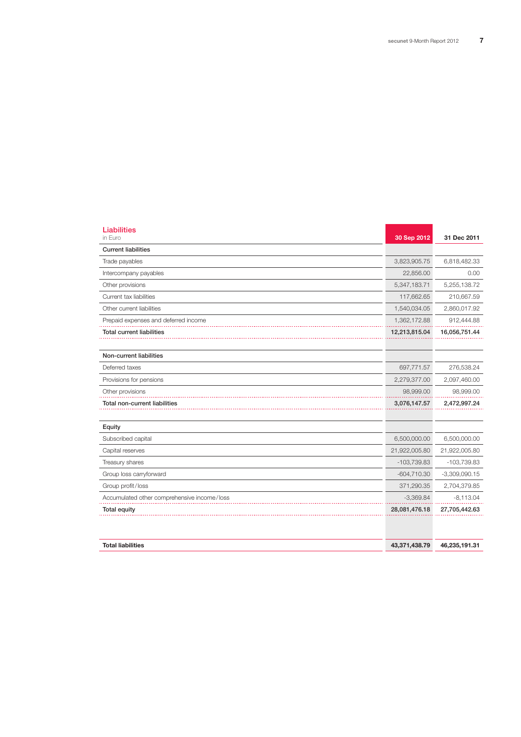| <b>Liabilities</b><br>in Euro               | 30 Sep 2012   | 31 Dec 2011     |
|---------------------------------------------|---------------|-----------------|
| <b>Current liabilities</b>                  |               |                 |
| Trade payables                              | 3,823,905.75  | 6,818,482.33    |
| Intercompany payables                       | 22,856.00     | 0.00            |
| Other provisions                            | 5,347,183.71  | 5,255,138.72    |
| Current tax liabilities                     | 117,662.65    | 210,667.59      |
| Other current liabilities                   | 1,540,034.05  | 2,860,017.92    |
| Prepaid expenses and deferred income        | 1,362,172.88  | 912,444.88      |
| <b>Total current liabilities</b>            | 12,213,815.04 | 16,056,751.44   |
|                                             |               |                 |
| Non-current liabilities                     |               |                 |
| Deferred taxes                              | 697,771.57    | 276,538.24      |
| Provisions for pensions                     | 2,279,377.00  | 2,097,460.00    |
| Other provisions                            | 98,999.00     | 98,999.00       |
| Total non-current liabilities               | 3,076,147.57  | 2,472,997.24    |
|                                             |               |                 |
| Equity                                      |               |                 |
| Subscribed capital                          | 6,500,000.00  | 6,500,000.00    |
| Capital reserves                            | 21,922,005.80 | 21,922,005.80   |
| Treasury shares                             | $-103,739.83$ | $-103,739.83$   |
| Group loss carryforward                     | $-604,710.30$ | $-3,309,090.15$ |
| Group profit/loss                           | 371,290.35    | 2,704,379.85    |
| Accumulated other comprehensive income/loss | $-3,369.84$   | $-8,113.04$     |
| <b>Total equity</b>                         | 28,081,476.18 | 27,705,442.63   |
|                                             |               |                 |
|                                             |               |                 |

| <b>Total liabilities</b> | 43.371.438.79 | 46.235.191.31 |
|--------------------------|---------------|---------------|
|--------------------------|---------------|---------------|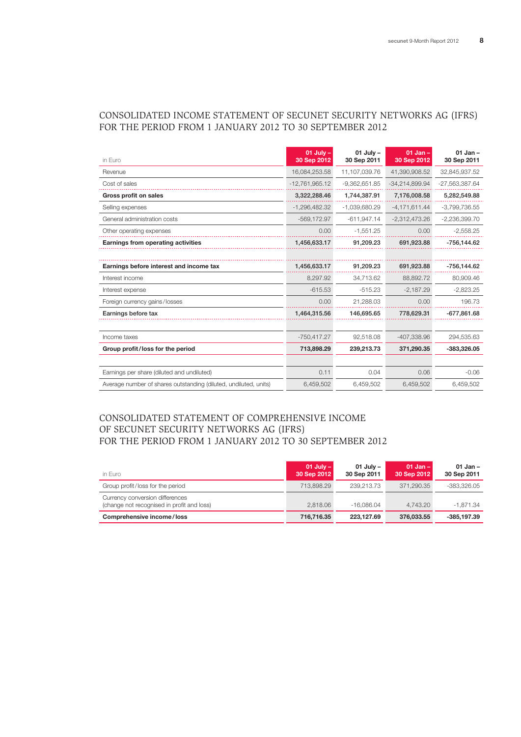# CONSOLIDATED INCOME STATEMENT OF SECUNET SECURITY NETWORKS AG (IFRS) FOR THE PERIOD FROM 1 JANUARY 2012 TO 30 SEPTEMBER 2012

| in Euro                                                          | $01$ July $-$<br>30 Sep 2012 | $01$ July $-$<br>30 Sep 2011 | $01$ Jan $-$<br>30 Sep 2012 | $01$ Jan $-$<br>30 Sep 2011 |
|------------------------------------------------------------------|------------------------------|------------------------------|-----------------------------|-----------------------------|
| Revenue                                                          | 16,084,253.58                | 11,107,039.76                | 41,390,908.52               | 32,845,937.52               |
| Cost of sales                                                    | $-12,761,965.12$             | $-9,362,651.85$              | $-34,214,899.94$            | -27,563,387.64              |
| Gross profit on sales                                            | 3,322,288.46                 | 1,744,387.91                 | 7,176,008.58                | 5,282,549.88                |
| Selling expenses                                                 | $-1,296,482.32$              | $-1,039,680.29$              | $-4,171,611.44$             | $-3,799,736.55$             |
| General administration costs                                     | $-569.172.97$                | $-611.947.14$                | $-2,312,473.26$             | $-2,236,399.70$             |
| Other operating expenses                                         | 0.00                         | $-1,551.25$                  | 0.00                        | $-2,558.25$                 |
| Earnings from operating activities                               | 1,456,633.17                 | 91,209.23                    | 691,923.88                  | -756,144.62                 |
|                                                                  |                              |                              |                             |                             |
| Earnings before interest and income tax                          | 1,456,633.17                 | 91.209.23                    | 691.923.88                  | -756,144.62                 |
| Interest income                                                  | 8.297.92                     | 34.713.62                    | 88.892.72                   | 80,909.46                   |
| Interest expense                                                 | $-615.53$                    | $-515.23$                    | $-2,187.29$                 | $-2,823.25$                 |
| Foreign currency gains/losses                                    | 0.00                         | 21,288.03                    | 0.00                        | 196.73                      |
| Earnings before tax                                              | 1,464,315.56                 | 146,695.65                   | 778,629.31                  | $-677,861.68$               |
|                                                                  |                              |                              |                             |                             |
| Income taxes                                                     | $-750,417.27$                | 92,518.08                    | -407,338.96                 | 294,535.63                  |
| Group profit/loss for the period                                 | 713,898.29                   | 239.213.73                   | 371.290.35                  | -383,326.05                 |
|                                                                  |                              |                              |                             |                             |
| Earnings per share (diluted and undiluted)                       | 0.11                         | 0.04                         | 0.06                        | $-0.06$                     |
| Average number of shares outstanding (diluted, undiluted, units) | 6,459,502                    | 6,459,502                    | 6,459,502                   | 6,459,502                   |

# consolidated STATEMENT OF COMPREHENSIVE INCOME OF SECUNET SECURITY NETWORKS AG (IFRS) FOR THE PERIOD FROM 1 JANUARY 2012 TO 30 SEPTEMBER 2012

| in Euro                                                                       | $01$ July $-$<br>30 Sep 2012 | $01$ July $-$<br>30 Sep 2011 | 01 Jan $-$<br>30 Sep 2012 | $01$ Jan $-$<br>30 Sep 2011 |
|-------------------------------------------------------------------------------|------------------------------|------------------------------|---------------------------|-----------------------------|
| Group profit/loss for the period                                              | 713.898.29                   | 239.213.73                   | 371.290.35                | -383.326.05                 |
| Currency conversion differences<br>(change not recognised in profit and loss) | 2.818.06                     | $-16.086.04$                 | 4.743.20                  | -1.871.34                   |
| Comprehensive income/loss                                                     | 716,716.35                   | 223.127.69                   | 376,033,55                | $-385.197.39$               |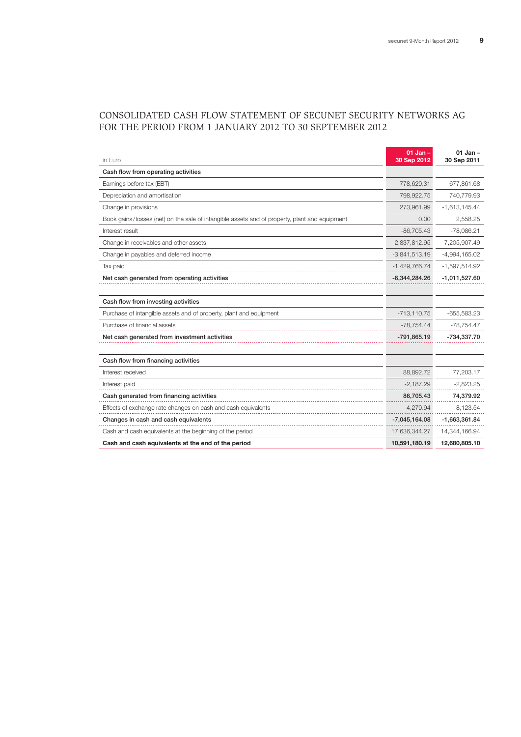# Consolidated CASH FLOW STATEMENT OF SECUNET SECURITY NETWORKS AG FOR THE PERIOD FROM 1 JANUARY 2012 TO 30 SEPTEMBER 2012

| in Euro                                                                                       | $01$ Jan $-$<br>30 Sep 2012 | $01$ Jan $-$<br>30 Sep 2011 |
|-----------------------------------------------------------------------------------------------|-----------------------------|-----------------------------|
| Cash flow from operating activities                                                           |                             |                             |
| Earnings before tax (EBT)                                                                     | 778,629.31                  | $-677,861.68$               |
| Depreciation and amortisation                                                                 | 798,922.75                  | 740,779.93                  |
| Change in provisions                                                                          | 273,961.99                  | $-1,613,145.44$             |
| Book gains/losses (net) on the sale of intangible assets and of property, plant and equipment | 0.00                        | 2,558.25                    |
| Interest result                                                                               | $-86,705.43$                | $-78,086.21$                |
| Change in receivables and other assets                                                        | $-2,837,812.95$             | 7,205,907.49                |
| Change in payables and deferred income                                                        | $-3,841,513.19$             | $-4,994,165.02$             |
| Tax paid                                                                                      | $-1,429,766.74$             | -1,597,514.92               |
| Net cash generated from operating activities                                                  | $-6,344,284.26$             | $-1,011,527.60$             |
|                                                                                               |                             |                             |
| Cash flow from investing activities                                                           |                             |                             |
| Purchase of intangible assets and of property, plant and equipment                            | $-713,110.75$               | $-655,583.23$               |
| Purchase of financial assets                                                                  | $-78,754.44$                | -78,754.47                  |
| Net cash generated from investment activities                                                 | $-791,865.19$               | -734,337.70                 |
|                                                                                               |                             |                             |
| Cash flow from financing activities                                                           |                             |                             |
| Interest received                                                                             | 88,892.72                   | 77,203.17                   |
| Interest paid                                                                                 | $-2,187.29$                 | $-2,823.25$                 |
| Cash generated from financing activities                                                      | 86,705.43                   | 74,379.92                   |
| Effects of exchange rate changes on cash and cash equivalents                                 | 4,279.94                    | 8,123.54                    |
| Changes in cash and cash equivalents                                                          | $-7,045,164.08$             | -1,663,361.84               |
| Cash and cash equivalents at the beginning of the period                                      | 17,636,344.27               | 14,344,166.94               |
| Cash and cash equivalents at the end of the period                                            | 10,591,180.19               | 12,680,805.10               |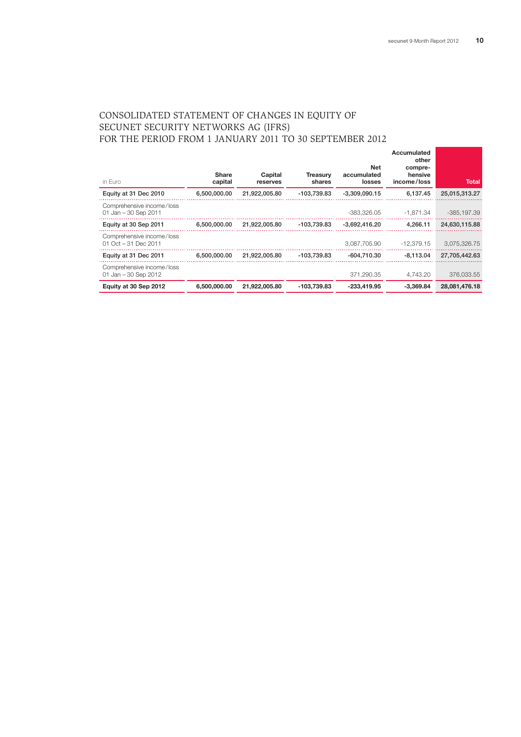# CONSOLIDATED STATEMENT OF CHANGES IN EQUITY OF SECUNET SECURITY NETWORKS AG (IFRS) FOR THE PERIOD FROM 1 JANUARY 2011 TO 30 SEPTEMBER 2012

| in Euro                                            | <b>Share</b><br>capital | Capital<br>reserves | <b>Treasurv</b><br>shares | <b>Net</b><br>accumulated<br>losses | Accumulated<br>other<br>compre-<br>hensive<br>income/loss | Total         |
|----------------------------------------------------|-------------------------|---------------------|---------------------------|-------------------------------------|-----------------------------------------------------------|---------------|
| Equity at 31 Dec 2010                              | 6,500,000,00            | 21.922.005.80       | -103.739.83               | $-3.309.090.15$                     | 6.137.45                                                  | 25,015,313.27 |
| Comprehensive income/loss<br>01 Jan - 30 Sep 2011  |                         |                     |                           | -383.326.05                         | $-1.871.34$                                               | -385, 197.39  |
| Equity at 30 Sep 2011                              | 6,500,000.00            | 21,922,005.80       | -103,739.83               | $-3,692,416.20$                     | 4,266.11                                                  | 24,630,115.88 |
| Comprehensive income/loss<br>01 Oct $-31$ Dec 2011 |                         |                     |                           | 3.087.705.90                        | $-12.379.15$                                              | 3,075,326.75  |
| Equity at 31 Dec 2011                              | 6.500.000.00            | 21.922.005.80       | -103.739.83               | $-604.710.30$                       | $-8.113.04$                                               | 27.705.442.63 |
| Comprehensive income/loss<br>01 Jan - 30 Sep 2012  |                         |                     |                           | 371.290.35                          | 4.743.20                                                  | 376,033.55    |
| Equity at 30 Sep 2012                              | 6,500,000,00            | 21.922.005.80       | -103.739.83               | $-233.419.95$                       | $-3.369.84$                                               | 28.081.476.18 |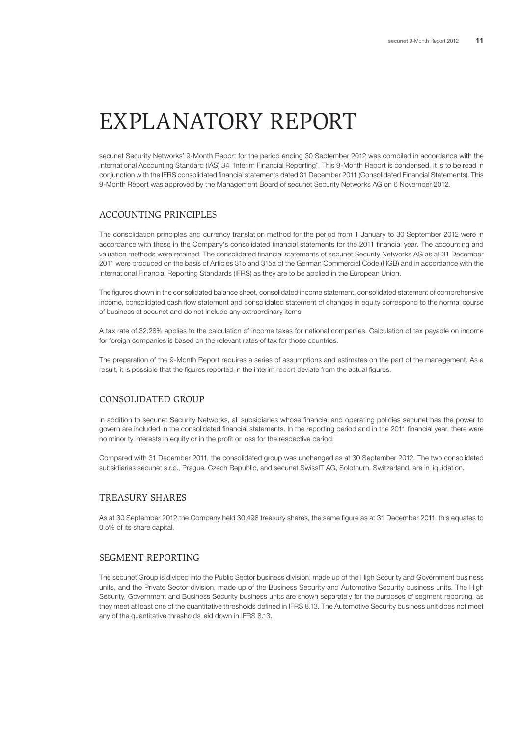# EXPLANATORY REPORT

secunet Security Networks' 9-Month Report for the period ending 30 September 2012 was compiled in accordance with the International Accounting Standard (IAS) 34 "Interim Financial Reporting". This 9-Month Report is condensed. It is to be read in conjunction with the IFRS consolidated financial statements dated 31 December 2011 (Consolidated Financial Statements). This 9-Month Report was approved by the Management Board of secunet Security Networks AG on 6 November 2012.

# ACCOUNTING PRINCIPLES

The consolidation principles and currency translation method for the period from 1 January to 30 September 2012 were in accordance with those in the Company's consolidated financial statements for the 2011 financial year. The accounting and valuation methods were retained. The consolidated financial statements of secunet Security Networks AG as at 31 December 2011 were produced on the basis of Articles 315 and 315a of the German Commercial Code (HGB) and in accordance with the International Financial Reporting Standards (IFRS) as they are to be applied in the European Union.

The figures shown in the consolidated balance sheet, consolidated income statement, consolidated statement of comprehensive income, consolidated cash flow statement and consolidated statement of changes in equity correspond to the normal course of business at secunet and do not include any extraordinary items.

A tax rate of 32.28% applies to the calculation of income taxes for national companies. Calculation of tax payable on income for foreign companies is based on the relevant rates of tax for those countries.

The preparation of the 9-Month Report requires a series of assumptions and estimates on the part of the management. As a result, it is possible that the figures reported in the interim report deviate from the actual figures.

## CONSOLIDATED GROUP

In addition to secunet Security Networks, all subsidiaries whose financial and operating policies secunet has the power to govern are included in the consolidated financial statements. In the reporting period and in the 2011 financial year, there were no minority interests in equity or in the profit or loss for the respective period.

Compared with 31 December 2011, the consolidated group was unchanged as at 30 September 2012. The two consolidated subsidiaries secunet s.r.o., Prague, Czech Republic, and secunet SwissIT AG, Solothurn, Switzerland, are in liquidation.

# TREASURY SHARES

As at 30 September 2012 the Company held 30,498 treasury shares, the same figure as at 31 December 2011; this equates to 0.5% of its share capital.

## SEGMENT REPORTING

The secunet Group is divided into the Public Sector business division, made up of the High Security and Government business units, and the Private Sector division, made up of the Business Security and Automotive Security business units. The High Security, Government and Business Security business units are shown separately for the purposes of segment reporting, as they meet at least one of the quantitative thresholds defined in IFRS 8.13. The Automotive Security business unit does not meet any of the quantitative thresholds laid down in IFRS 8.13.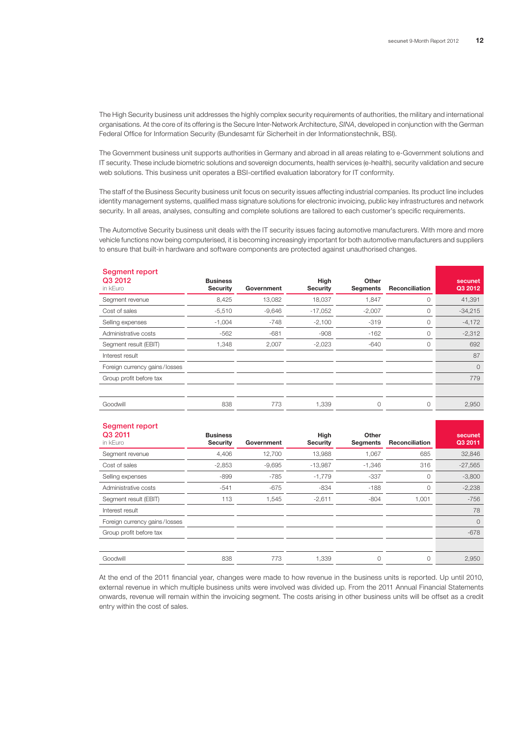The High Security business unit addresses the highly complex security requirements of authorities, the military and international organisations. At the core of its offering is the Secure Inter-Network Architecture, *SINA*, developed in conjunction with the German Federal Office for Information Security (Bundesamt für Sicherheit in der Informationstechnik, BSI).

The Government business unit supports authorities in Germany and abroad in all areas relating to e-Government solutions and IT security. These include biometric solutions and sovereign documents, health services (e-health), security validation and secure web solutions. This business unit operates a BSI-certified evaluation laboratory for IT conformity.

The staff of the Business Security business unit focus on security issues affecting industrial companies. Its product line includes identity management systems, qualified mass signature solutions for electronic invoicing, public key infrastructures and network security. In all areas, analyses, consulting and complete solutions are tailored to each customer's specific requirements.

The Automotive Security business unit deals with the IT security issues facing automotive manufacturers. With more and more vehicle functions now being computerised, it is becoming increasingly important for both automotive manufacturers and suppliers to ensure that built-in hardware and software components are protected against unauthorised changes.

| <b>Segment report</b><br>Q3 2012<br>in kEuro | <b>Business</b><br><b>Security</b> | Government | High<br><b>Security</b> | Other<br>Segments | <b>Reconciliation</b> | secunet<br>Q3 2012 |
|----------------------------------------------|------------------------------------|------------|-------------------------|-------------------|-----------------------|--------------------|
| Segment revenue                              | 8,425                              | 13,082     | 18,037                  | 1,847             | 0                     | 41,391             |
| Cost of sales                                | $-5,510$                           | $-9,646$   | $-17,052$               | $-2,007$          | 0                     | $-34,215$          |
| Selling expenses                             | $-1,004$                           | $-748$     | $-2,100$                | $-319$            | 0                     | $-4,172$           |
| Administrative costs                         | $-562$                             | $-681$     | $-908$                  | $-162$            | 0                     | $-2,312$           |
| Segment result (EBIT)                        | 1,348                              | 2,007      | $-2,023$                | $-640$            | 0                     | 692                |
| Interest result                              |                                    |            |                         |                   |                       | 87                 |
| Foreign currency gains/losses                |                                    |            |                         |                   |                       | $\Omega$           |
| Group profit before tax                      |                                    |            |                         |                   |                       | 779                |
|                                              |                                    |            |                         |                   |                       |                    |
| Goodwill                                     | 838                                | 773        | 1,339                   | 0                 | 0                     | 2,950              |

#### Segment report

| <b>Security</b> | Government      | High<br><b>Security</b> | Other<br><b>Segments</b> | <b>Reconciliation</b> | secunet<br>Q3 2011 |
|-----------------|-----------------|-------------------------|--------------------------|-----------------------|--------------------|
| 4,406           | 12,700          | 13,988                  | 1,067                    | 685                   | 32,846             |
| $-2,853$        | $-9,695$        | $-13,987$               | $-1,346$                 | 316                   | $-27,565$          |
| $-899$          | $-785$          | $-1,779$                | $-337$                   | $\circ$               | $-3,800$           |
| $-541$          | $-675$          | $-834$                  | $-188$                   | 0                     | $-2,238$           |
| 113             | 1,545           | $-2,611$                | $-804$                   | 1,001                 | $-756$             |
|                 |                 |                         |                          |                       | 78                 |
|                 |                 |                         |                          |                       | $\circ$            |
|                 |                 |                         |                          |                       | $-678$             |
|                 |                 |                         |                          |                       |                    |
| 838             | 773             | 1,339                   | $\circ$                  | 0                     | 2,950              |
|                 | <b>Business</b> |                         |                          |                       |                    |

At the end of the 2011 financial year, changes were made to how revenue in the business units is reported. Up until 2010, external revenue in which multiple business units were involved was divided up. From the 2011 Annual Financial Statements onwards, revenue will remain within the invoicing segment. The costs arising in other business units will be offset as a credit entry within the cost of sales.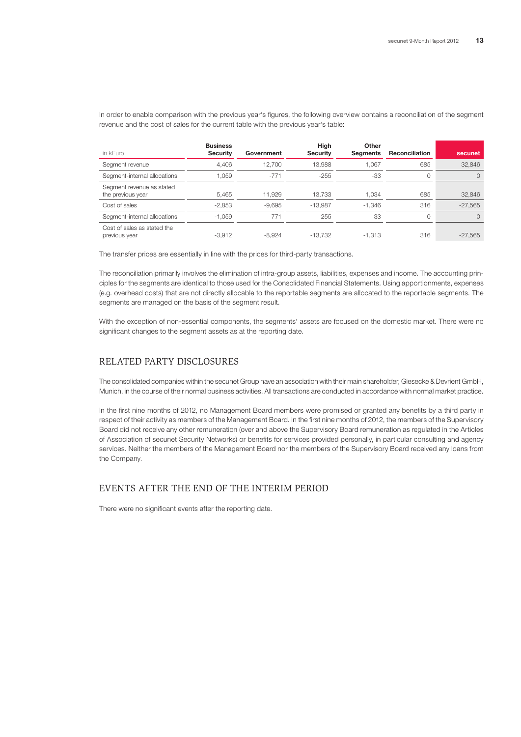| in kEuro                                       | <b>Business</b><br><b>Security</b> | Government | High<br><b>Security</b> | Other<br><b>Seaments</b> | <b>Reconciliation</b> | secunet   |
|------------------------------------------------|------------------------------------|------------|-------------------------|--------------------------|-----------------------|-----------|
| Segment revenue                                | 4.406                              | 12.700     | 13.988                  | 1,067                    | 685                   | 32.846    |
| Segment-internal allocations                   | 1.059                              | $-771$     | $-255$                  | $-33$                    | 0                     | $\Omega$  |
| Segment revenue as stated<br>the previous year | 5.465                              | 11.929     | 13.733                  | 1.034                    | 685                   | 32.846    |
| Cost of sales                                  | $-2,853$                           | $-9.695$   | $-13.987$               | $-1,346$                 | 316                   | $-27.565$ |
| Segment-internal allocations                   | $-1.059$                           | 771        | 255                     | 33                       | 0                     | $\Omega$  |
| Cost of sales as stated the<br>previous year   | $-3.912$                           | $-8.924$   | -13.732                 | $-1.313$                 | 316                   | $-27.565$ |

In order to enable comparison with the previous year's figures, the following overview contains a reconciliation of the segment revenue and the cost of sales for the current table with the previous year's table:

The transfer prices are essentially in line with the prices for third-party transactions.

The reconciliation primarily involves the elimination of intra-group assets, liabilities, expenses and income. The accounting principles for the segments are identical to those used for the Consolidated Financial Statements. Using apportionments, expenses (e.g. overhead costs) that are not directly allocable to the reportable segments are allocated to the reportable segments. The segments are managed on the basis of the segment result.

With the exception of non-essential components, the segments' assets are focused on the domestic market. There were no significant changes to the segment assets as at the reporting date.

## RELATED PARTY DISCLOSURES

The consolidated companies within the secunet Group have an association with their main shareholder, Giesecke & Devrient GmbH, Munich, in the course of their normal business activities. All transactions are conducted in accordance with normal market practice.

In the first nine months of 2012, no Management Board members were promised or granted any benefits by a third party in respect of their activity as members of the Management Board. In the first nine months of 2012, the members of the Supervisory Board did not receive any other remuneration (over and above the Supervisory Board remuneration as regulated in the Articles of Association of secunet Security Networks) or benefits for services provided personally, in particular consulting and agency services. Neither the members of the Management Board nor the members of the Supervisory Board received any loans from the Company.

#### EVENTS AFTER THE END OF THE INTERIM PERIOD

There were no significant events after the reporting date.